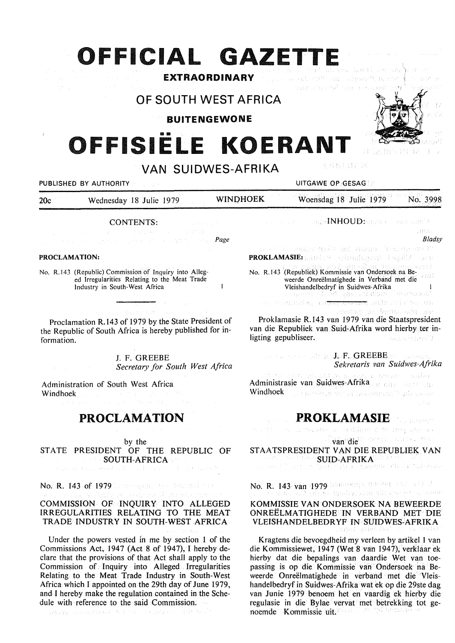# **FFICIAL GAZETTE**

**EXTRAORDINARY**  Premier also Will all algunarity and successful Team of air 154 Tabula establerà

**OF SOUTH WEST AFRICA** 

**BUITENGEWONE** 

# •• **FFISIELE KOERANT**



PUBLISHED BY AUTHORITY UNDER A SERVICE OF GESAGE AND LOT ON A SERVICE OF GESAGE AND LOT OF A SERVICE OF GESAGE AND LOT OF A SERVICE OF A SERVICE OF A SERVICE OF A SERVICE OF A SERVICE OF A SERVICE OF A SERVICE OF A SERVICE

20c Wednesday 18 Julie 1979 WINOHOEK Woensdag 18 Julie 1979 No. 3998

CONTENTS:

Page of the page of the state (Page

#### **PROCLAMATION:**

No. R.143 (Republic) Commission of Inquiry into Alleged Irregularities Relating to the Meat Trade  $\mathbf{I}$ Industry in South-West Africa

Proclamation R.143 of 1979 by the State President of the Republic of South Africa is hereby published for information.

> J. F. GREEBE *Secretary for South West Africa*

Administration of South West Africa Windhoek

## **PROCLAMATION**

by the

STATE PRESIDENT OF THE REPUBLIC OF SOUTH-AFRICA

No. R. 143 of 1979 he the spanned been been the t gadyntor Wilay an Amga COMMISSION OF INQUIRY INTO ALLEGED IRREGULARITIES RELATING TO THE MEAT

Under the powers vested in me by section 1 of the Commissions Act, 1947 (Act 8 of 1947), I hereby declare that the provisions of that Act shall apply to the Commission of. Inquiry into Alleged Irregularities Relating to the Meat Trade Industry in South-West Africa which I appointed on the 29th day of June 1979, and I hereby make the regulation contained in the Schedule with reference to the said Commission.

TRADE INDUSTRY IN SOUTH-WEST AFRICA

and the second still and set of the second states of the second second second second second second second second second second second second second second second second second second second second second second second seco

In the second manifold  $\mathbf{N}\mathbf{H}\mathbf{O}\mathbf{U}\mathbf{D}$  , and the second second  $\mathcal{N}$ crew.

*Bladsy* 

го тамдыгына? эл) хафота Тварын аза Х **PROKLAMASIE:** 

制有权调整的名

No. R.143 (Republiek) Kommissie van Ondersoek na Beweerde Onreëlmatighede in Verband met die Vleishandelbedryf in Suidwes-Afrika<br>Afrika (18 - 2001)<br>Afrika (19 - 2001)<br>Afrika (19 - 2002)<br>Afrika (19 - 2002)

<del>git</del>, mile sri 1950. BB

ase, oet itst maar <del>joar avorp</del><br>ee plevagelig as een over

Proklamasie R.143 van 1979 van die Staatspresident van die Republiek van Suid-Afrika word hierby ter inligting gepubliseer. ់ សេចកំណែស់)

, we are the constant of  $J_{\rm tr} F_{\rm tr}$   ${\rm GREEBE}$  and a special *Sekretaris van Suidwes-Afrika* 

าม อายาคม - รวมโคร่ t na chuai Administrasie van Suidwes-Afrika Windhoek in a providence with a concernational budge about

# **PROKLAMASIE**

article on companies as a dilactor by new you as van<sup>i</sup>die<sup>ro dares e bundez test</sup>

STAATSPRESIDENT VAN DIE REPUBLIEK VAN

SUID-AFRIKA<sup>SKI 200</sup>0 - <sup>19</sup>00 - 1900<br>Suid-Afrikaanse personeringen in tuiskan

No. R. 143 van 1979 bebangen genoem man die ste

## KOMMISSIE VANONDERSOEK NA BEWEERDE ONREELMA TIGHEDE IN VERBAND MET DIE VLEISHANDELBEDRYF IN SUIDWES-AFRIKA

Kragtens die bevoegdheid my verleen by artikel 1 van die Kommissiewet, 1947 (Wet 8 van 1947), verklaar ek hierby dat die bepalings van daardie Wet van toepassing is op die Kommissie van Ondersoek na Beweerde Onreëlmatighede in verband met die Vleishandelbedryf in Suidwes-Afrika wat ek op die 29ste dag van Junie 1979 benoem het en vaardig ek hierby die regulasie in die Bylae vervat met betrekking tot genoemde Kommissie uit.

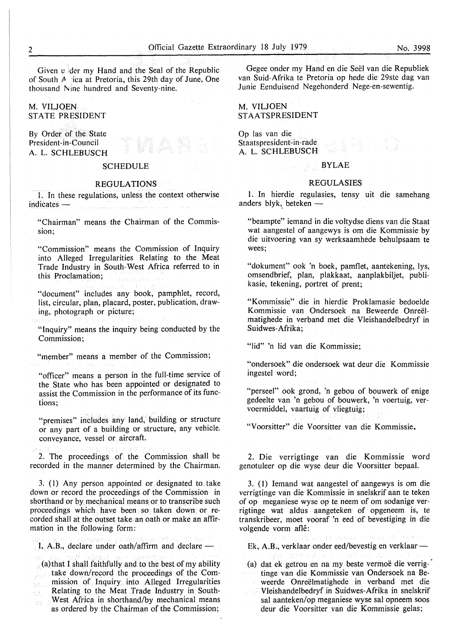Given v der my Hand and the Seal of the Republic of South *A* ica at Pretoria, this 29th day of June, One thousand Nine hundred and Seventy-nine.

M. VILJOEN STATE PRESIDENT

By Order of the State President-in-Council A. L. SCHLEBUSCH

#### **SCHEDULE**

#### REGULATIONS

I. In these regulations, unless the context otherwise indicates -

"Chairman" means the Chairman of the Commission;

"Commission" means the Commission of Inquiry into Alleged Irregularities Relating to the Meat Trade Industry in South-West Africa referred to in this Proclamation;

"document" includes any book, pamphlet, record, list, circular, plan, placard, poster, publication, drawing, photograph or picture;

"Inquiry" means the inquiry being conducted by the Commission;

"member" means a member of the Commission;

"officer" means a person in the full-time service of the State who has been appointed or designated to assist the Commission in the performance of its functions;

"premises" includes any land, building or structure or any part of a building or structure, any vehicle: conveyance, vessel or aircraft.

2. The proceedings of the Commission shall be recorded in the manner determined by the Chairman.

3. (1) Any person appointed or designated to take down or record the proceedings of the Commission in shorthand or by mechanical means or to transcribe such proceedings which have been so taken down or recorded shall at the outset take. an oath or make an affirmation in the following form:

 $I, A.B.,$  declare under oath/affirm and declare  $-$ 

(a)that I shall faithfully and to the best of my ability take down/record the proceedings of the Commission of Inquiry into Alleged Irregularities  $\hat{\mathcal{U}}(\hat{\Omega})$  . Relating to the Meat Trade Industry in Southsit. West Africa in shorthand/by mechanical means  $\frac{1}{2}\frac{d^2}{dt^2}$ as ordered by the Chairman of the Commission;

Gegee onder my Hand en die Seel van die Republiek van Suid-Afrika te Pretoria op hede die 29ste dag van Junie Eenduisend Negehonderd Nege-en-sewentig.

### **M. VILJOEN ST AA TS PRESIDENT**

Op las van die Staatspresident-in-rade A. L. SCHLEBUSCH

### BYLAE

#### REGULASIES

1. In hierdie regulasies, tensy uit die samehang anders blyk, beteken  $-$ 

"beampte" iemand in die voltydse diens van die Staat wat aangestel of aangewys is om die Kommissie by die uitvoering van sy werksaamhede behulpsaam te wees;

"dokument" ook 'n boek, pamflet, aantekening, lys, omsendbrief, plan, plakkaat, aanplakbiljet, publikasie, tekening, portret of prent;

"Kommissie" die in hierdie Proklamasie bedoelde Kommissie van Ondersoek na Beweerde Onreelmatighede in verband met die Vleishandelbedryf in Suidwes-Afrika;

"lid" 'n lid van die Kommissie;

"ondersoek" die ondersoek wat deur die Kommissie ingestel word;

"perseel" ook grond, 'n gebou of bouwerk of enige gedeelte van 'n gebou of bouwerk, 'n voertuig, vervoermiddel, vaartuig of vliegtuig;

"Voorsitter" die Voorsitter van die Kommissie.

2. Die verrigtinge van die Kommissie word genotuleer op die wyse deur die Voorsitter bepaal.

3. (1) Iemand wat aangestel of aangewys is om die verrigtinge van die Kommissie in snelskrif aan te teken of op meganiese wyse op te neem of om sodanige verrigtinge wat aldus aangeteken of opgeneem is, te transkribeer, moet vooraf 'n eed of bevestiging in die volgende vorm afle:

Ek, A.B., verklaar onder eed/bevestig en verklaar-

(a) dat ek getrou en na my beste vermoe die verrigtinge van die Kommissie van Ondersoek na Beweerde Onreëlmatighede in verband met die Vleishandelbedryf in Suidwes-Afrika in snelskrif sal aanteken/op meganiese wyse sal opneem soos deur die Voorsitter van die Kommissie gelas;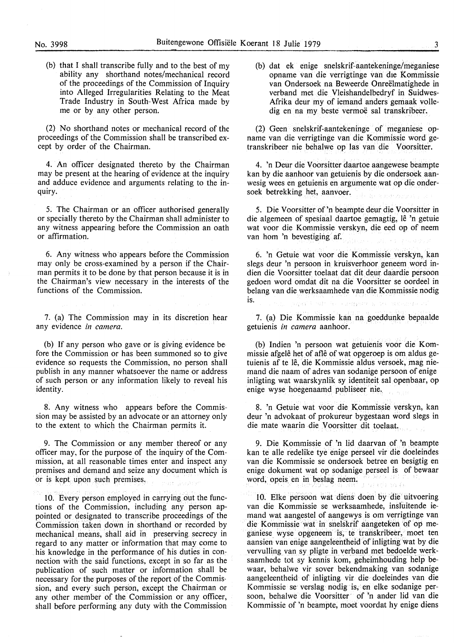(b) that I shall transcribe fully and to the best of my ability any shorthand notes/mechanical record of the proceedings of the Commission of Inquiry into Alleged Irregularities Relating to the Meat Trade Industry in South-West Africa made by me or by any other person.

(2) No shorthand notes or mechanical record of the proceedings of the Commission shall be transcribed except by order of the Chairman.

4. An officer designated thereto by the Chairman may be present at the hearing of evidence at the inquiry and adduce evidence and arguments relating to the inquiry.

*5.* The Chairman or an officer authorised generally or specially thereto by the Chairman shall administer to any witness appearing before the Commission an oath or affirmation.

6. Any witness who· appears before the Commission may only be cross-examined by a person if the Chairman permits it to be done by that person because it is in the Chairman's view necessary in the interests of the functions of the Commission.

7. (a) The Commission may in its discretion hear any evidence *in camera.* 

(b) If any person who gave or is giving evidence before the Commission or has been summoned so to give evidence so requests the Commission, no person shall publish in any manner whatsoever the name or address of such person or any information likely to reveal his identity.

8. Any witness who appears before the Commission may be assisted by an advocate or an attorney only to the extent to which the Chairman permits it.

9. The Commission or any member thereof or any officer may, for the purpose of the inquiry of the Commission, at all reasonable times enter and inspect any premises and demand and seize any document which is or is kept upon such premises,

10. Every person employed in carrying out the functions of the Commission, including any person appointed or designated to transcribe proceedings of the Commission taken down in shorthand or recorded by mechanical means, shall aid in preserving secrecy in regard to any matter or information that may come to his knowledge in the performance of his duties in connection with the said functions, except in so far as the publication of such matter or information shall be necessary for the purposes of the report of the Commission, and every such person, except the Chairman or any other member of the Commission or any officer, shall before performing any duty with the Commission

(b) dat ek enige snelskrif-aantekeninge/meganiese opname van die verrigtinge van die Kommissie van Ondersoek na Beweerde Onreëlmatighede in verband met die Vleishandelbedryf in Suidwes-Afrika deur my of iemand anders gemaak volledig en na my beste vermoë sal transkribeer.

(2) Geen snelskrif-aantekeninge of meganiese opname van die verrigtinge van die Kommissie word getranskribeer nie behalwe op las van die Voorsitter.

4. 'n Deur die Voorsitter daartoe aangewese beampte kan by die aanhoor van getuienis by die ondersoek aanwesig wees en getuienis en argumente wat op die ondersoek betrekking het, aanvoer.

*5.* Die Voorsitter of 'n beampte deur die Voorsitter in die algemeen of spesiaal daartoe gemagtig, lê 'n getuie wat voor die Kommissie verskyn, die eed op of neem van horn 'n bevestiging af.

6. 'n Getuie wat voor die Kommissie verskyn, kan slegs deur 'n persoon in kruisverhoor geneem word indien die Voorsitter toelaat dat dit deur daardie persoon gedoen word omdat dit na die Voorsitter se oordeel in belang van die werksaamhede van die Kommissie nodig is. a concerning

7. (a) Die Kommissie kan na goeddunke bepaalde getuienis *in camera* aanhoor.

(b) Indien 'n persoon wat getuienis voor die Kommissie afgelê het of aflê of wat opgeroep is om aldus getuienis af te le, die Kommissie aldus versoek, mag niemand die naam of adres van sodanige persoon of enige inligting wat waarskynlik sy identiteit sal openbaar, op enige wyse hoegenaamd publiseer nie.

8. 'n Getuie wat voor die Kommissie verskyn, kan deur 'n advokaat of prokureur bygestaan word slegs in die mate waarin die Voorsitter dit toelaat.

9. Die Kommissie of 'n lid daarvan of 'n beampte kan te alle redelike tye enige perseel vir die doeleindes van die Kommissie se ondersoek betree en besigtig en enige dokument wat op sodanige perseel is of bewaar word, opeis en in beslag neem.

10. Elke persoon wat diens doen by die uitvoering van die Kommissie se werksaamhede, insfuitende iemand wat aangestel of aangewys is om verrigtinge van die Kommissie wat in snelskrif aangeteken of op meganiese wyse opgeneem is; te trariskribeer, moet ten aansien van enige aangeleentheid of inligting wat by die vervulling van sy pligte in verband met bedoeldewerksaamhede tot sy kennis kom, geheimhouding help bewaar, behalwe vir sover bekendmaking van sodanige aangeleentheid of inligting vir die doeleindes van die Kommissie se verslag nodig is, en elke sodanige persoon, behalwe die Voorsitter of 'n ander lid van die Kommissie of 'n beampte, moet voordat hy enige diens